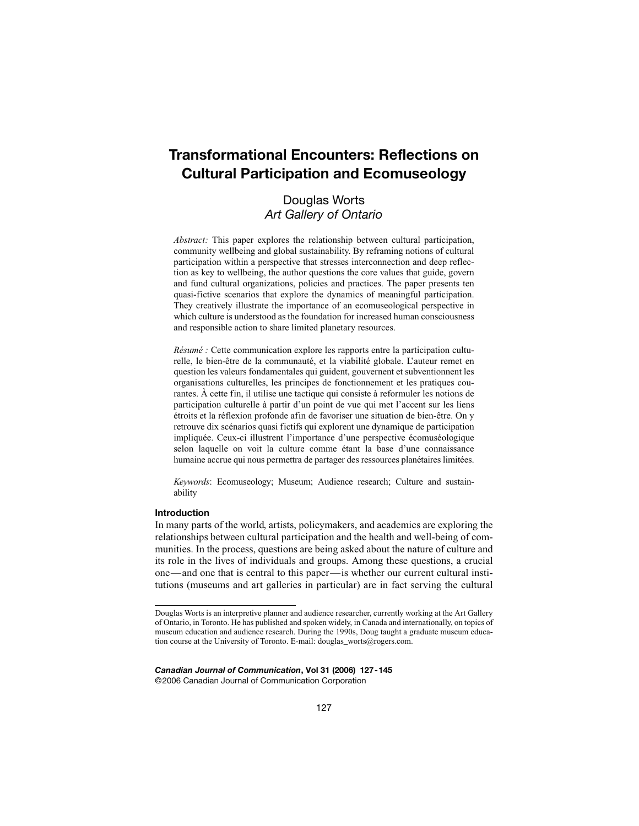# **Transformational Encounters: Reflections on Cultural Participation and Ecomuseology**

# Douglas Worts *Art Gallery of Ontario*

*Abstract:* This paper explores the relationship between cultural participation, community wellbeing and global sustainability. By reframing notions of cultural participation within a perspective that stresses interconnection and deep reflection as key to wellbeing, the author questions the core values that guide, govern and fund cultural organizations, policies and practices. The paper presents ten quasi-fictive scenarios that explore the dynamics of meaningful participation. They creatively illustrate the importance of an ecomuseological perspective in which culture is understood as the foundation for increased human consciousness and responsible action to share limited planetary resources.

*Résumé :* Cette communication explore les rapports entre la participation culturelle, le bien-être de la communauté, et la viabilité globale. L'auteur remet en question les valeurs fondamentales qui guident, gouvernent et subventionnent les organisations culturelles, les principes de fonctionnement et les pratiques courantes. À cette fin, il utilise une tactique qui consiste à reformuler les notions de participation culturelle à partir d'un point de vue qui met l'accent sur les liens étroits et la réflexion profonde afin de favoriser une situation de bien-être. On y retrouve dix scénarios quasi fictifs qui explorent une dynamique de participation impliquée. Ceux-ci illustrent l'importance d'une perspective écomuséologique selon laquelle on voit la culture comme étant la base d'une connaissance humaine accrue qui nous permettra de partager des ressources planétaires limitées.

*Keywords*: Ecomuseology; Museum; Audience research; Culture and sustainability

# **Introduction**

In many parts of the world, artists, policymakers, and academics are exploring the relationships between cultural participation and the health and well-being of communities. In the process, questions are being asked about the nature of culture and its role in the lives of individuals and groups. Among these questions, a crucial one—and one that is central to this paper—is whether our current cultural institutions (museums and art galleries in particular) are in fact serving the cultural

*Canadian Journal of Communication***, Vol 31 (2006) 127-145** ©2006 Canadian Journal of Communication Corporation

Douglas Worts is an interpretive planner and audience researcher, currently working at the Art Gallery of Ontario, in Toronto. He has published and spoken widely, in Canada and internationally, on topics of museum education and audience research. During the 1990s, Doug taught a graduate museum education course at the University of Toronto. E-mail: douglas\_worts@rogers.com.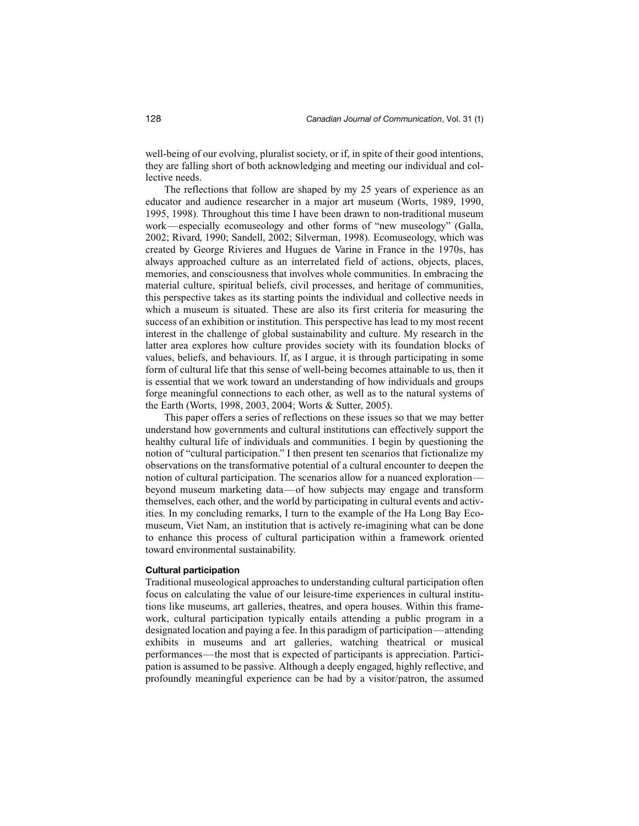well-being of our evolving, pluralist society, or if, in spite of their good intentions, they are falling short of both acknowledging and meeting our individual and collective needs.

The reflections that follow are shaped by my 25 years of experience as an educator and audience researcher in a major art museum (Worts, 1989, 1990, 1995, 1998). Throughout this time I have been drawn to non-traditional museum work—especially ecomuseology and other forms of "new museology" (Galla, 2002; Rivard, 1990; Sandell, 2002; Silverman, 1998). Ecomuseology, which was created by George Rivieres and Hugues de Varine in France in the 1970s, has always approached culture as an interrelated field of actions, objects, places, memories, and consciousness that involves whole communities. In embracing the material culture, spiritual beliefs, civil processes, and heritage of communities, this perspective takes as its starting points the individual and collective needs in which a museum is situated. These are also its first criteria for measuring the success of an exhibition or institution. This perspective has lead to my most recent interest in the challenge of global sustainability and culture. My research in the latter area explores how culture provides society with its foundation blocks of values, beliefs, and behaviours. If, as I argue, it is through participating in some form of cultural life that this sense of well-being becomes attainable to us, then it is essential that we work toward an understanding of how individuals and groups forge meaningful connections to each other, as well as to the natural systems of the Earth (Worts, 1998, 2003, 2004; Worts & Sutter, 2005).

This paper offers a series of reflections on these issues so that we may better understand how governments and cultural institutions can effectively support the healthy cultural life of individuals and communities. I begin by questioning the notion of "cultural participation." I then present ten scenarios that fictionalize my observations on the transformative potential of a cultural encounter to deepen the notion of cultural participation. The scenarios allow for a nuanced exploration beyond museum marketing data—of how subjects may engage and transform themselves, each other, and the world by participating in cultural events and activities. In my concluding remarks, I turn to the example of the Ha Long Bay Ecomuseum, Viet Nam, an institution that is actively re-imagining what can be done to enhance this process of cultural participation within a framework oriented toward environmental sustainability.

#### **Cultural participation**

Traditional museological approaches to understanding cultural participation often focus on calculating the value of our leisure-time experiences in cultural institutions like museums, art galleries, theatres, and opera houses. Within this framework, cultural participation typically entails attending a public program in a designated location and paying a fee. In this paradigm of participation—attending exhibits in museums and art galleries, watching theatrical or musical performances—the most that is expected of participants is appreciation. Participation is assumed to be passive. Although a deeply engaged, highly reflective, and profoundly meaningful experience can be had by a visitor/patron, the assumed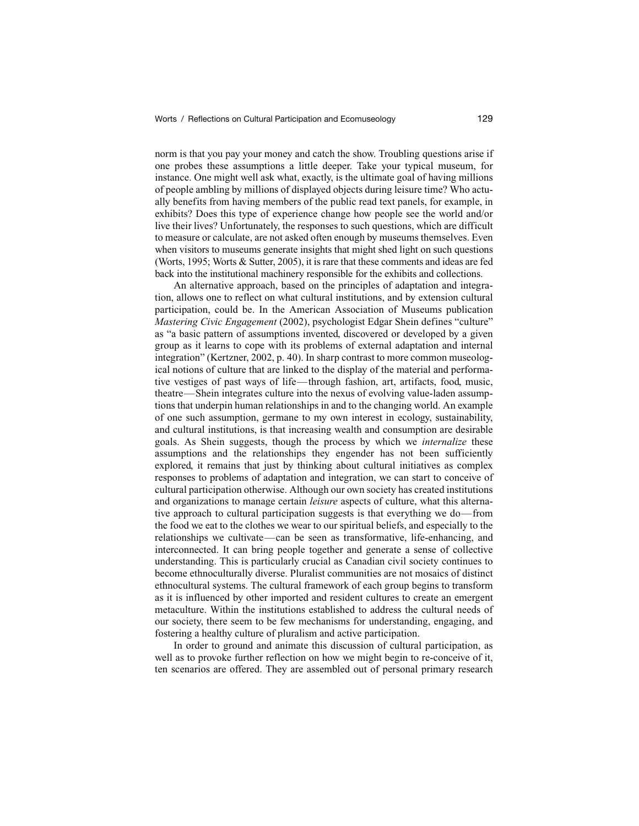norm is that you pay your money and catch the show. Troubling questions arise if one probes these assumptions a little deeper. Take your typical museum, for instance. One might well ask what, exactly, is the ultimate goal of having millions of people ambling by millions of displayed objects during leisure time? Who actually benefits from having members of the public read text panels, for example, in exhibits? Does this type of experience change how people see the world and/or live their lives? Unfortunately, the responses to such questions, which are difficult to measure or calculate, are not asked often enough by museums themselves. Even when visitors to museums generate insights that might shed light on such questions (Worts, 1995; Worts & Sutter, 2005), it is rare that these comments and ideas are fed back into the institutional machinery responsible for the exhibits and collections.

An alternative approach, based on the principles of adaptation and integration, allows one to reflect on what cultural institutions, and by extension cultural participation, could be. In the American Association of Museums publication *Mastering Civic Engagement* (2002), psychologist Edgar Shein defines "culture" as "a basic pattern of assumptions invented, discovered or developed by a given group as it learns to cope with its problems of external adaptation and internal integration" (Kertzner, 2002, p. 40). In sharp contrast to more common museological notions of culture that are linked to the display of the material and performative vestiges of past ways of life—through fashion, art, artifacts, food, music, theatre—Shein integrates culture into the nexus of evolving value-laden assumptions that underpin human relationships in and to the changing world. An example of one such assumption, germane to my own interest in ecology, sustainability, and cultural institutions, is that increasing wealth and consumption are desirable goals. As Shein suggests, though the process by which we *internalize* these assumptions and the relationships they engender has not been sufficiently explored, it remains that just by thinking about cultural initiatives as complex responses to problems of adaptation and integration, we can start to conceive of cultural participation otherwise. Although our own society has created institutions and organizations to manage certain *leisure* aspects of culture, what this alternative approach to cultural participation suggests is that everything we do—from the food we eat to the clothes we wear to our spiritual beliefs, and especially to the relationships we cultivate—can be seen as transformative, life-enhancing, and interconnected. It can bring people together and generate a sense of collective understanding. This is particularly crucial as Canadian civil society continues to become ethnoculturally diverse. Pluralist communities are not mosaics of distinct ethnocultural systems. The cultural framework of each group begins to transform as it is influenced by other imported and resident cultures to create an emergent metaculture. Within the institutions established to address the cultural needs of our society, there seem to be few mechanisms for understanding, engaging, and fostering a healthy culture of pluralism and active participation.

In order to ground and animate this discussion of cultural participation, as well as to provoke further reflection on how we might begin to re-conceive of it, ten scenarios are offered. They are assembled out of personal primary research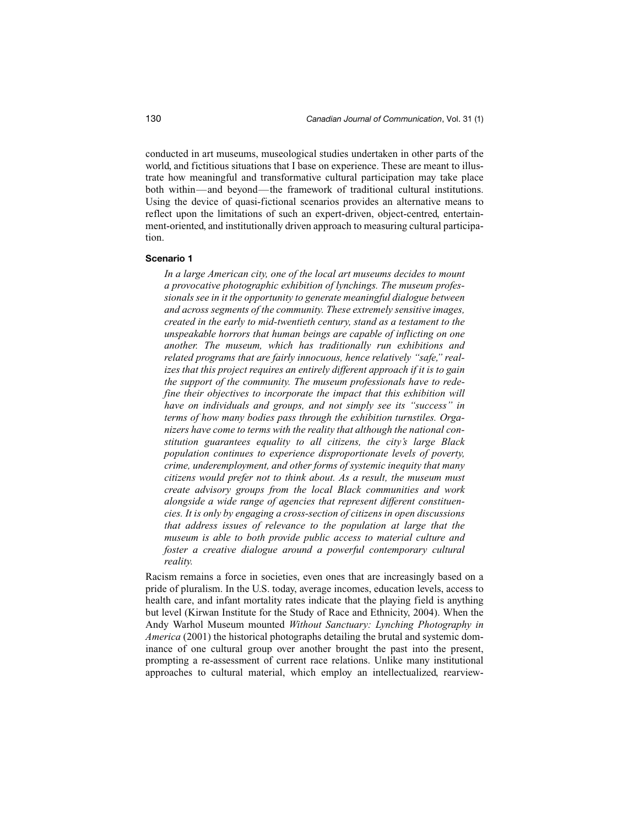conducted in art museums, museological studies undertaken in other parts of the world, and fictitious situations that I base on experience. These are meant to illustrate how meaningful and transformative cultural participation may take place both within—and beyond—the framework of traditional cultural institutions. Using the device of quasi-fictional scenarios provides an alternative means to reflect upon the limitations of such an expert-driven, object-centred, entertainment-oriented, and institutionally driven approach to measuring cultural participation.

## **Scenario 1**

*In a large American city, one of the local art museums decides to mount a provocative photographic exhibition of lynchings. The museum professionals see in it the opportunity to generate meaningful dialogue between and across segments of the community. These extremely sensitive images, created in the early to mid-twentieth century, stand as a testament to the unspeakable horrors that human beings are capable of inflicting on one another. The museum, which has traditionally run exhibitions and related programs that are fairly innocuous, hence relatively "safe," realizes that this project requires an entirely different approach if it is to gain the support of the community. The museum professionals have to redefine their objectives to incorporate the impact that this exhibition will have on individuals and groups, and not simply see its "success" in terms of how many bodies pass through the exhibition turnstiles. Organizers have come to terms with the reality that although the national constitution guarantees equality to all citizens, the city's large Black population continues to experience disproportionate levels of poverty, crime, underemployment, and other forms of systemic inequity that many citizens would prefer not to think about. As a result, the museum must create advisory groups from the local Black communities and work alongside a wide range of agencies that represent different constituencies. It is only by engaging a cross-section of citizens in open discussions that address issues of relevance to the population at large that the museum is able to both provide public access to material culture and foster a creative dialogue around a powerful contemporary cultural reality.*

Racism remains a force in societies, even ones that are increasingly based on a pride of pluralism. In the U.S. today, average incomes, education levels, access to health care, and infant mortality rates indicate that the playing field is anything but level (Kirwan Institute for the Study of Race and Ethnicity, 2004). When the Andy Warhol Museum mounted *Without Sanctuary: Lynching Photography in America* (2001) the historical photographs detailing the brutal and systemic dominance of one cultural group over another brought the past into the present, prompting a re-assessment of current race relations. Unlike many institutional approaches to cultural material, which employ an intellectualized, rearview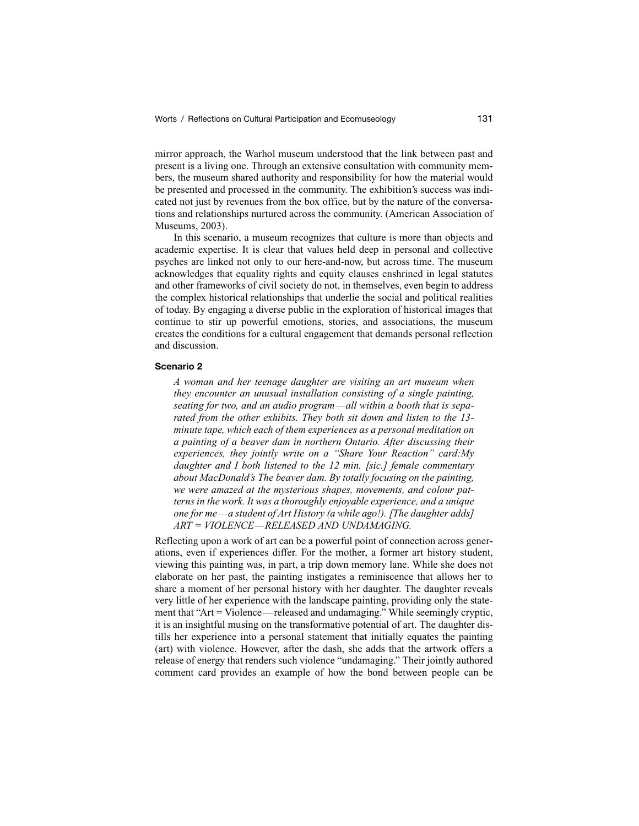mirror approach, the Warhol museum understood that the link between past and present is a living one. Through an extensive consultation with community members, the museum shared authority and responsibility for how the material would be presented and processed in the community. The exhibition's success was indicated not just by revenues from the box office, but by the nature of the conversations and relationships nurtured across the community. (American Association of Museums, 2003).

In this scenario, a museum recognizes that culture is more than objects and academic expertise. It is clear that values held deep in personal and collective psyches are linked not only to our here-and-now, but across time. The museum acknowledges that equality rights and equity clauses enshrined in legal statutes and other frameworks of civil society do not, in themselves, even begin to address the complex historical relationships that underlie the social and political realities of today. By engaging a diverse public in the exploration of historical images that continue to stir up powerful emotions, stories, and associations, the museum creates the conditions for a cultural engagement that demands personal reflection and discussion.

# **Scenario 2**

*A woman and her teenage daughter are visiting an art museum when they encounter an unusual installation consisting of a single painting, seating for two, and an audio program—all within a booth that is separated from the other exhibits. They both sit down and listen to the 13 minute tape, which each of them experiences as a personal meditation on a painting of a beaver dam in northern Ontario. After discussing their experiences, they jointly write on a "Share Your Reaction" card:My daughter and I both listened to the 12 min. [sic.] female commentary about MacDonald's The beaver dam. By totally focusing on the painting, we were amazed at the mysterious shapes, movements, and colour patterns in the work. It was a thoroughly enjoyable experience, and a unique one for me—a student of Art History (a while ago!). [The daughter adds] ART = VIOLENCE—RELEASED AND UNDAMAGING.* 

Reflecting upon a work of art can be a powerful point of connection across generations, even if experiences differ. For the mother, a former art history student, viewing this painting was, in part, a trip down memory lane. While she does not elaborate on her past, the painting instigates a reminiscence that allows her to share a moment of her personal history with her daughter. The daughter reveals very little of her experience with the landscape painting, providing only the statement that "Art = Violence—released and undamaging." While seemingly cryptic, it is an insightful musing on the transformative potential of art. The daughter distills her experience into a personal statement that initially equates the painting (art) with violence. However, after the dash, she adds that the artwork offers a release of energy that renders such violence "undamaging." Their jointly authored comment card provides an example of how the bond between people can be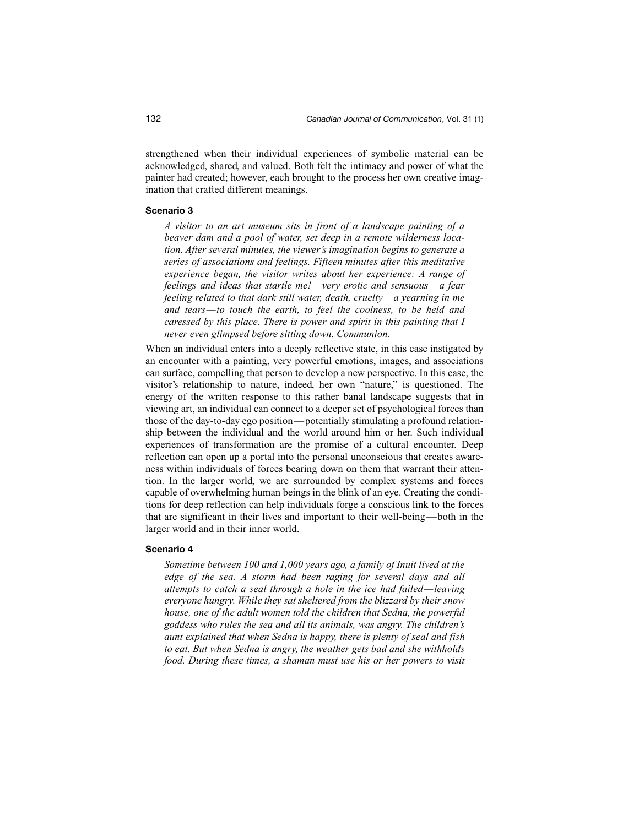strengthened when their individual experiences of symbolic material can be acknowledged, shared, and valued. Both felt the intimacy and power of what the painter had created; however, each brought to the process her own creative imagination that crafted different meanings.

# **Scenario 3**

*A visitor to an art museum sits in front of a landscape painting of a beaver dam and a pool of water, set deep in a remote wilderness location. After several minutes, the viewer's imagination begins to generate a series of associations and feelings. Fifteen minutes after this meditative experience began, the visitor writes about her experience: A range of feelings and ideas that startle me!—very erotic and sensuous—a fear feeling related to that dark still water, death, cruelty—a yearning in me and tears—to touch the earth, to feel the coolness, to be held and caressed by this place. There is power and spirit in this painting that I never even glimpsed before sitting down. Communion.*

When an individual enters into a deeply reflective state, in this case instigated by an encounter with a painting, very powerful emotions, images, and associations can surface, compelling that person to develop a new perspective. In this case, the visitor's relationship to nature, indeed, her own "nature," is questioned. The energy of the written response to this rather banal landscape suggests that in viewing art, an individual can connect to a deeper set of psychological forces than those of the day-to-day ego position—potentially stimulating a profound relationship between the individual and the world around him or her. Such individual experiences of transformation are the promise of a cultural encounter. Deep reflection can open up a portal into the personal unconscious that creates awareness within individuals of forces bearing down on them that warrant their attention. In the larger world, we are surrounded by complex systems and forces capable of overwhelming human beings in the blink of an eye. Creating the conditions for deep reflection can help individuals forge a conscious link to the forces that are significant in their lives and important to their well-being—both in the larger world and in their inner world.

#### **Scenario 4**

*Sometime between 100 and 1,000 years ago, a family of Inuit lived at the edge of the sea. A storm had been raging for several days and all attempts to catch a seal through a hole in the ice had failed—leaving everyone hungry. While they sat sheltered from the blizzard by their snow house, one of the adult women told the children that Sedna, the powerful goddess who rules the sea and all its animals, was angry. The children's aunt explained that when Sedna is happy, there is plenty of seal and fish to eat. But when Sedna is angry, the weather gets bad and she withholds food. During these times, a shaman must use his or her powers to visit*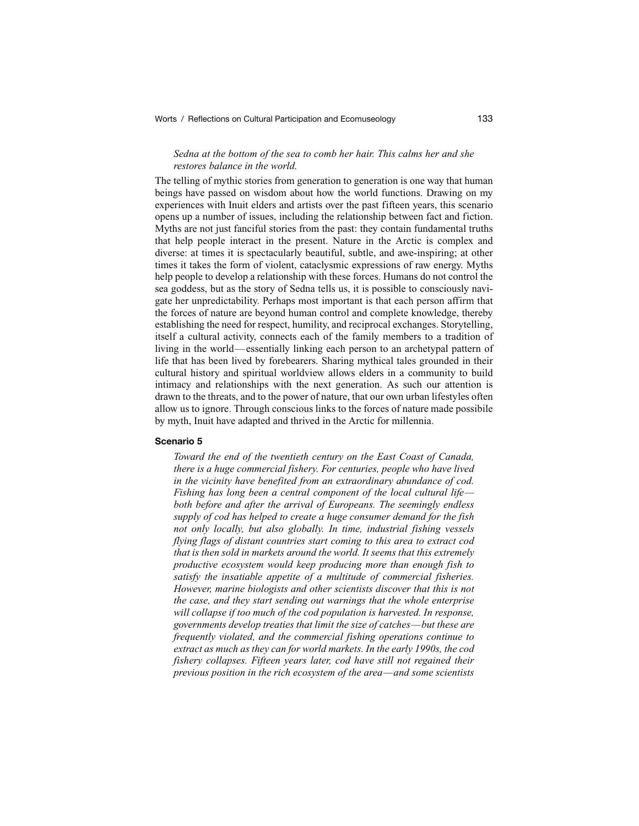# *Sedna at the bottom of the sea to comb her hair. This calms her and she restores balance in the world.*

The telling of mythic stories from generation to generation is one way that human beings have passed on wisdom about how the world functions. Drawing on my experiences with Inuit elders and artists over the past fifteen years, this scenario opens up a number of issues, including the relationship between fact and fiction. Myths are not just fanciful stories from the past: they contain fundamental truths that help people interact in the present. Nature in the Arctic is complex and diverse: at times it is spectacularly beautiful, subtle, and awe-inspiring; at other times it takes the form of violent, cataclysmic expressions of raw energy. Myths help people to develop a relationship with these forces. Humans do not control the sea goddess, but as the story of Sedna tells us, it is possible to consciously navigate her unpredictability. Perhaps most important is that each person affirm that the forces of nature are beyond human control and complete knowledge, thereby establishing the need for respect, humility, and reciprocal exchanges. Storytelling, itself a cultural activity, connects each of the family members to a tradition of living in the world—essentially linking each person to an archetypal pattern of life that has been lived by forebearers. Sharing mythical tales grounded in their cultural history and spiritual worldview allows elders in a community to build intimacy and relationships with the next generation. As such our attention is drawn to the threats, and to the power of nature, that our own urban lifestyles often allow us to ignore. Through conscious links to the forces of nature made possibile by myth, Inuit have adapted and thrived in the Arctic for millennia.

#### **Scenario 5**

*Toward the end of the twentieth century on the East Coast of Canada, there is a huge commercial fishery. For centuries, people who have lived in the vicinity have benefited from an extraordinary abundance of cod. Fishing has long been a central component of the local cultural life both before and after the arrival of Europeans. The seemingly endless supply of cod has helped to create a huge consumer demand for the fish not only locally, but also globally. In time, industrial fishing vessels flying flags of distant countries start coming to this area to extract cod that is then sold in markets around the world. It seems that this extremely productive ecosystem would keep producing more than enough fish to satisfy the insatiable appetite of a multitude of commercial fisheries. However, marine biologists and other scientists discover that this is not the case, and they start sending out warnings that the whole enterprise will collapse if too much of the cod population is harvested. In response, governments develop treaties that limit the size of catches—but these are frequently violated, and the commercial fishing operations continue to extract as much as they can for world markets. In the early 1990s, the cod fishery collapses. Fifteen years later, cod have still not regained their previous position in the rich ecosystem of the area—and some scientists*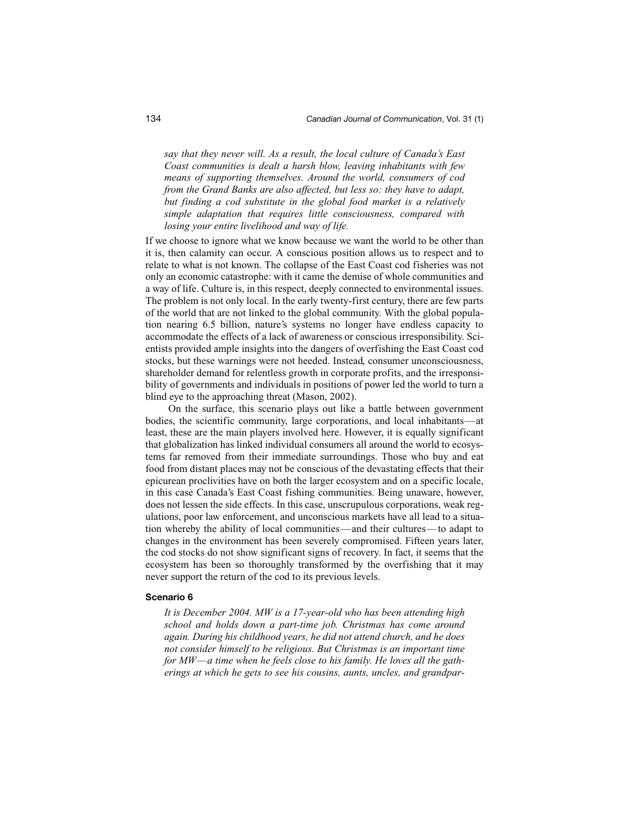*say that they never will. As a result, the local culture of Canada's East Coast communities is dealt a harsh blow, leaving inhabitants with few means of supporting themselves. Around the world, consumers of cod from the Grand Banks are also affected, but less so: they have to adapt, but finding a cod substitute in the global food market is a relatively simple adaptation that requires little consciousness, compared with losing your entire livelihood and way of life.*

If we choose to ignore what we know because we want the world to be other than it is, then calamity can occur. A conscious position allows us to respect and to relate to what is not known. The collapse of the East Coast cod fisheries was not only an economic catastrophe: with it came the demise of whole communities and a way of life. Culture is, in this respect, deeply connected to environmental issues. The problem is not only local. In the early twenty-first century, there are few parts of the world that are not linked to the global community. With the global population nearing 6.5 billion, nature's systems no longer have endless capacity to accommodate the effects of a lack of awareness or conscious irresponsibility. Scientists provided ample insights into the dangers of overfishing the East Coast cod stocks, but these warnings were not heeded. Instead, consumer unconsciousness, shareholder demand for relentless growth in corporate profits, and the irresponsibility of governments and individuals in positions of power led the world to turn a blind eye to the approaching threat (Mason, 2002).

 On the surface, this scenario plays out like a battle between government bodies, the scientific community, large corporations, and local inhabitants—at least, these are the main players involved here. However, it is equally significant that globalization has linked individual consumers all around the world to ecosystems far removed from their immediate surroundings. Those who buy and eat food from distant places may not be conscious of the devastating effects that their epicurean proclivities have on both the larger ecosystem and on a specific locale, in this case Canada's East Coast fishing communities. Being unaware, however, does not lessen the side effects. In this case, unscrupulous corporations, weak regulations, poor law enforcement, and unconscious markets have all lead to a situation whereby the ability of local communities—and their cultures—to adapt to changes in the environment has been severely compromised. Fifteen years later, the cod stocks do not show significant signs of recovery. In fact, it seems that the ecosystem has been so thoroughly transformed by the overfishing that it may never support the return of the cod to its previous levels.

#### **Scenario 6**

*It is December 2004. MW is a 17-year-old who has been attending high school and holds down a part-time job. Christmas has come around again. During his childhood years, he did not attend church, and he does not consider himself to be religious. But Christmas is an important time for MW—a time when he feels close to his family. He loves all the gatherings at which he gets to see his cousins, aunts, uncles, and grandpar-*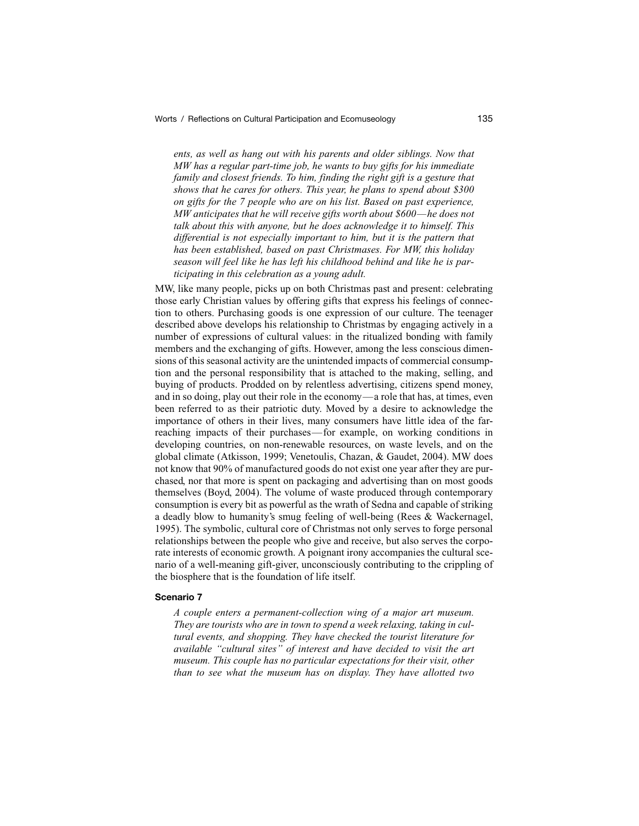*ents, as well as hang out with his parents and older siblings. Now that MW has a regular part-time job, he wants to buy gifts for his immediate family and closest friends. To him, finding the right gift is a gesture that shows that he cares for others. This year, he plans to spend about \$300 on gifts for the 7 people who are on his list. Based on past experience, MW anticipates that he will receive gifts worth about \$600—he does not talk about this with anyone, but he does acknowledge it to himself. This differential is not especially important to him, but it is the pattern that has been established, based on past Christmases. For MW, this holiday season will feel like he has left his childhood behind and like he is participating in this celebration as a young adult.*

MW, like many people, picks up on both Christmas past and present: celebrating those early Christian values by offering gifts that express his feelings of connection to others. Purchasing goods is one expression of our culture. The teenager described above develops his relationship to Christmas by engaging actively in a number of expressions of cultural values: in the ritualized bonding with family members and the exchanging of gifts. However, among the less conscious dimensions of this seasonal activity are the unintended impacts of commercial consumption and the personal responsibility that is attached to the making, selling, and buying of products. Prodded on by relentless advertising, citizens spend money, and in so doing, play out their role in the economy—a role that has, at times, even been referred to as their patriotic duty. Moved by a desire to acknowledge the importance of others in their lives, many consumers have little idea of the farreaching impacts of their purchases—for example, on working conditions in developing countries, on non-renewable resources, on waste levels, and on the global climate (Atkisson, 1999; Venetoulis, Chazan, & Gaudet, 2004). MW does not know that 90% of manufactured goods do not exist one year after they are purchased, nor that more is spent on packaging and advertising than on most goods themselves (Boyd, 2004). The volume of waste produced through contemporary consumption is every bit as powerful as the wrath of Sedna and capable of striking a deadly blow to humanity's smug feeling of well-being (Rees & Wackernagel, 1995). The symbolic, cultural core of Christmas not only serves to forge personal relationships between the people who give and receive, but also serves the corporate interests of economic growth. A poignant irony accompanies the cultural scenario of a well-meaning gift-giver, unconsciously contributing to the crippling of the biosphere that is the foundation of life itself.

#### **Scenario 7**

*A couple enters a permanent-collection wing of a major art museum. They are tourists who are in town to spend a week relaxing, taking in cultural events, and shopping. They have checked the tourist literature for available "cultural sites" of interest and have decided to visit the art museum. This couple has no particular expectations for their visit, other than to see what the museum has on display. They have allotted two*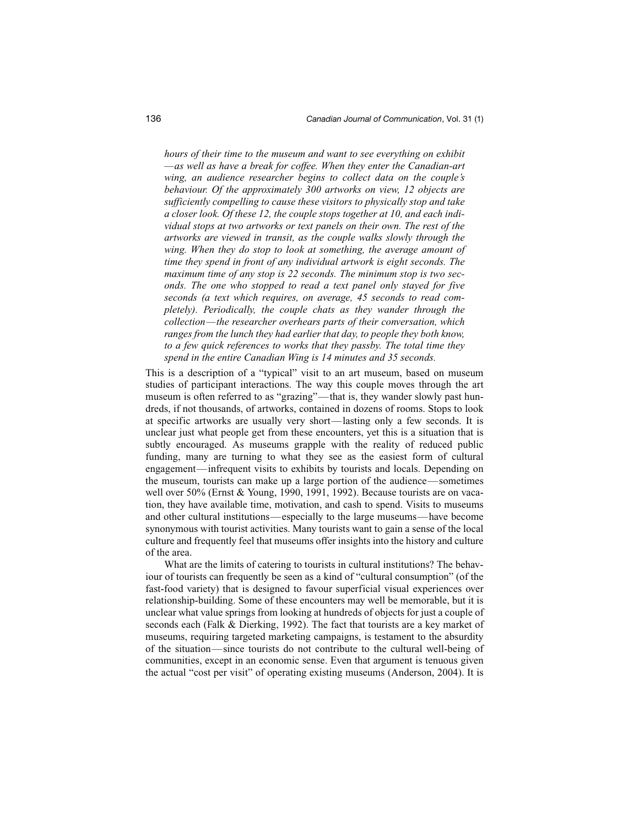*hours of their time to the museum and want to see everything on exhibit —as well as have a break for coffee. When they enter the Canadian-art wing, an audience researcher begins to collect data on the couple's behaviour. Of the approximately 300 artworks on view, 12 objects are sufficiently compelling to cause these visitors to physically stop and take a closer look. Of these 12, the couple stops together at 10, and each individual stops at two artworks or text panels on their own. The rest of the artworks are viewed in transit, as the couple walks slowly through the wing. When they do stop to look at something, the average amount of time they spend in front of any individual artwork is eight seconds. The maximum time of any stop is 22 seconds. The minimum stop is two seconds. The one who stopped to read a text panel only stayed for five seconds (a text which requires, on average, 45 seconds to read completely). Periodically, the couple chats as they wander through the collection—the researcher overhears parts of their conversation, which ranges from the lunch they had earlier that day, to people they both know, to a few quick references to works that they passby. The total time they spend in the entire Canadian Wing is 14 minutes and 35 seconds.*

This is a description of a "typical" visit to an art museum, based on museum studies of participant interactions. The way this couple moves through the art museum is often referred to as "grazing"—that is, they wander slowly past hundreds, if not thousands, of artworks, contained in dozens of rooms. Stops to look at specific artworks are usually very short—lasting only a few seconds. It is unclear just what people get from these encounters, yet this is a situation that is subtly encouraged. As museums grapple with the reality of reduced public funding, many are turning to what they see as the easiest form of cultural engagement—infrequent visits to exhibits by tourists and locals. Depending on the museum, tourists can make up a large portion of the audience—sometimes well over 50% (Ernst & Young, 1990, 1991, 1992). Because tourists are on vacation, they have available time, motivation, and cash to spend. Visits to museums and other cultural institutions—especially to the large museums—have become synonymous with tourist activities. Many tourists want to gain a sense of the local culture and frequently feel that museums offer insights into the history and culture of the area.

What are the limits of catering to tourists in cultural institutions? The behaviour of tourists can frequently be seen as a kind of "cultural consumption" (of the fast-food variety) that is designed to favour superficial visual experiences over relationship-building. Some of these encounters may well be memorable, but it is unclear what value springs from looking at hundreds of objects for just a couple of seconds each (Falk & Dierking, 1992). The fact that tourists are a key market of museums, requiring targeted marketing campaigns, is testament to the absurdity of the situation—since tourists do not contribute to the cultural well-being of communities, except in an economic sense. Even that argument is tenuous given the actual "cost per visit" of operating existing museums (Anderson, 2004). It is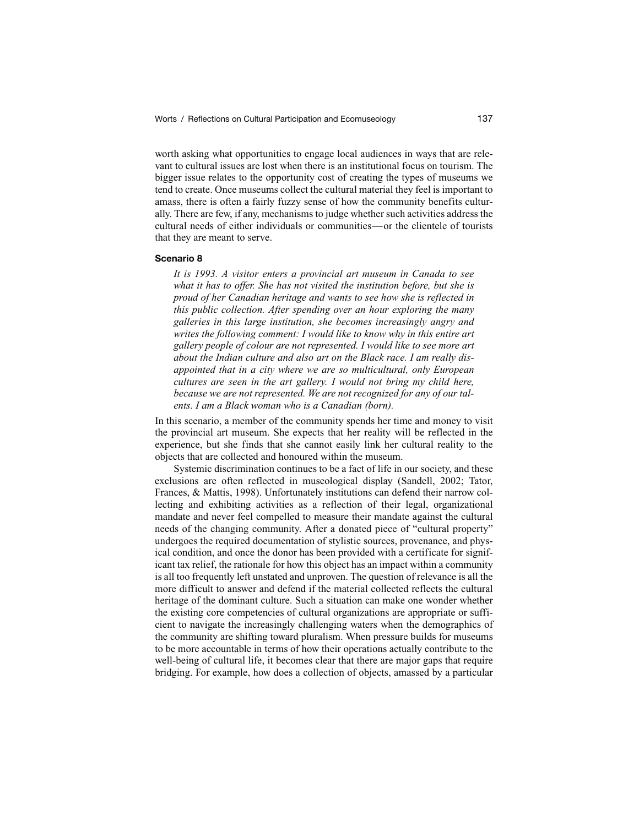worth asking what opportunities to engage local audiences in ways that are relevant to cultural issues are lost when there is an institutional focus on tourism. The bigger issue relates to the opportunity cost of creating the types of museums we tend to create. Once museums collect the cultural material they feel is important to amass, there is often a fairly fuzzy sense of how the community benefits culturally. There are few, if any, mechanisms to judge whether such activities address the cultural needs of either individuals or communities—or the clientele of tourists that they are meant to serve.

# **Scenario 8**

*It is 1993. A visitor enters a provincial art museum in Canada to see what it has to offer. She has not visited the institution before, but she is proud of her Canadian heritage and wants to see how she is reflected in this public collection. After spending over an hour exploring the many galleries in this large institution, she becomes increasingly angry and writes the following comment: I would like to know why in this entire art gallery people of colour are not represented. I would like to see more art about the Indian culture and also art on the Black race. I am really disappointed that in a city where we are so multicultural, only European cultures are seen in the art gallery. I would not bring my child here, because we are not represented. We are not recognized for any of our talents. I am a Black woman who is a Canadian (born).*

In this scenario, a member of the community spends her time and money to visit the provincial art museum. She expects that her reality will be reflected in the experience, but she finds that she cannot easily link her cultural reality to the objects that are collected and honoured within the museum.

Systemic discrimination continues to be a fact of life in our society, and these exclusions are often reflected in museological display (Sandell, 2002; Tator, Frances, & Mattis, 1998). Unfortunately institutions can defend their narrow collecting and exhibiting activities as a reflection of their legal, organizational mandate and never feel compelled to measure their mandate against the cultural needs of the changing community. After a donated piece of "cultural property" undergoes the required documentation of stylistic sources, provenance, and physical condition, and once the donor has been provided with a certificate for significant tax relief, the rationale for how this object has an impact within a community is all too frequently left unstated and unproven. The question of relevance is all the more difficult to answer and defend if the material collected reflects the cultural heritage of the dominant culture. Such a situation can make one wonder whether the existing core competencies of cultural organizations are appropriate or sufficient to navigate the increasingly challenging waters when the demographics of the community are shifting toward pluralism. When pressure builds for museums to be more accountable in terms of how their operations actually contribute to the well-being of cultural life, it becomes clear that there are major gaps that require bridging. For example, how does a collection of objects, amassed by a particular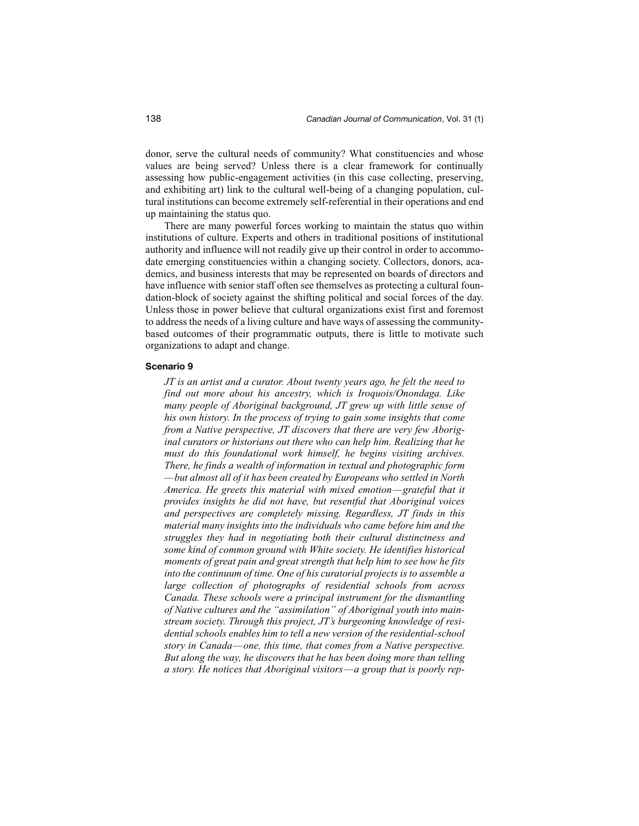donor, serve the cultural needs of community? What constituencies and whose values are being served? Unless there is a clear framework for continually assessing how public-engagement activities (in this case collecting, preserving, and exhibiting art) link to the cultural well-being of a changing population, cultural institutions can become extremely self-referential in their operations and end up maintaining the status quo.

There are many powerful forces working to maintain the status quo within institutions of culture. Experts and others in traditional positions of institutional authority and influence will not readily give up their control in order to accommodate emerging constituencies within a changing society. Collectors, donors, academics, and business interests that may be represented on boards of directors and have influence with senior staff often see themselves as protecting a cultural foundation-block of society against the shifting political and social forces of the day. Unless those in power believe that cultural organizations exist first and foremost to address the needs of a living culture and have ways of assessing the communitybased outcomes of their programmatic outputs, there is little to motivate such organizations to adapt and change.

# **Scenario 9**

*JT is an artist and a curator. About twenty years ago, he felt the need to find out more about his ancestry, which is Iroquois/Onondaga. Like many people of Aboriginal background, JT grew up with little sense of his own history. In the process of trying to gain some insights that come from a Native perspective, JT discovers that there are very few Aboriginal curators or historians out there who can help him. Realizing that he must do this foundational work himself, he begins visiting archives. There, he finds a wealth of information in textual and photographic form —but almost all of it has been created by Europeans who settled in North America. He greets this material with mixed emotion—grateful that it provides insights he did not have, but resentful that Aboriginal voices and perspectives are completely missing. Regardless, JT finds in this material many insights into the individuals who came before him and the struggles they had in negotiating both their cultural distinctness and some kind of common ground with White society. He identifies historical moments of great pain and great strength that help him to see how he fits into the continuum of time. One of his curatorial projects is to assemble a large collection of photographs of residential schools from across Canada. These schools were a principal instrument for the dismantling of Native cultures and the "assimilation" of Aboriginal youth into mainstream society. Through this project, JT's burgeoning knowledge of residential schools enables him to tell a new version of the residential-school story in Canada—one, this time, that comes from a Native perspective. But along the way, he discovers that he has been doing more than telling a story. He notices that Aboriginal visitors—a group that is poorly rep-*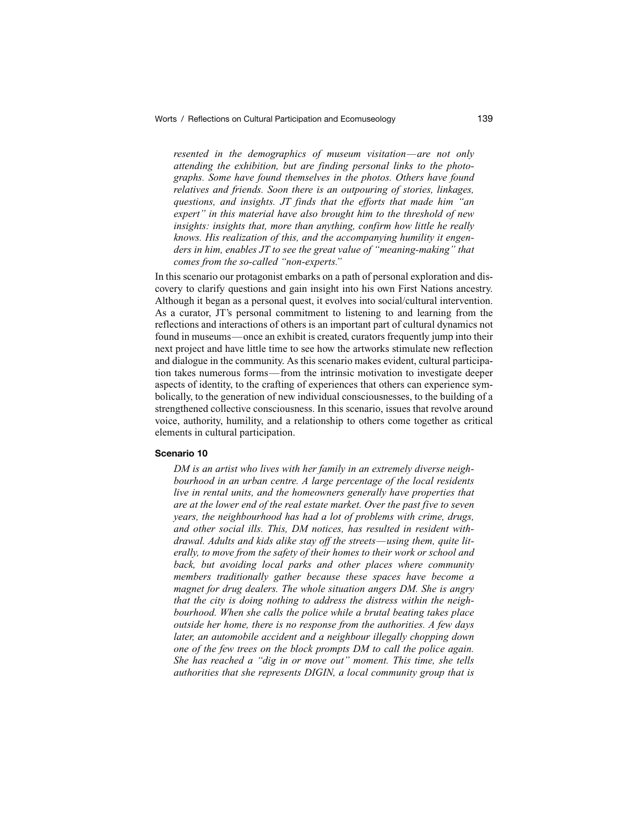*resented in the demographics of museum visitation—are not only attending the exhibition, but are finding personal links to the photographs. Some have found themselves in the photos. Others have found relatives and friends. Soon there is an outpouring of stories, linkages, questions, and insights. JT finds that the efforts that made him "an expert" in this material have also brought him to the threshold of new insights: insights that, more than anything, confirm how little he really knows. His realization of this, and the accompanying humility it engenders in him, enables JT to see the great value of "meaning-making" that comes from the so-called "non-experts."*

In this scenario our protagonist embarks on a path of personal exploration and discovery to clarify questions and gain insight into his own First Nations ancestry. Although it began as a personal quest, it evolves into social/cultural intervention. As a curator, JT's personal commitment to listening to and learning from the reflections and interactions of others is an important part of cultural dynamics not found in museums—once an exhibit is created, curators frequently jump into their next project and have little time to see how the artworks stimulate new reflection and dialogue in the community. As this scenario makes evident, cultural participation takes numerous forms—from the intrinsic motivation to investigate deeper aspects of identity, to the crafting of experiences that others can experience symbolically, to the generation of new individual consciousnesses, to the building of a strengthened collective consciousness. In this scenario, issues that revolve around voice, authority, humility, and a relationship to others come together as critical elements in cultural participation.

#### **Scenario 10**

*DM is an artist who lives with her family in an extremely diverse neighbourhood in an urban centre. A large percentage of the local residents live in rental units, and the homeowners generally have properties that are at the lower end of the real estate market. Over the past five to seven years, the neighbourhood has had a lot of problems with crime, drugs, and other social ills. This, DM notices, has resulted in resident withdrawal. Adults and kids alike stay off the streets—using them, quite literally, to move from the safety of their homes to their work or school and back, but avoiding local parks and other places where community members traditionally gather because these spaces have become a magnet for drug dealers. The whole situation angers DM. She is angry that the city is doing nothing to address the distress within the neighbourhood. When she calls the police while a brutal beating takes place outside her home, there is no response from the authorities. A few days later, an automobile accident and a neighbour illegally chopping down one of the few trees on the block prompts DM to call the police again. She has reached a "dig in or move out" moment. This time, she tells authorities that she represents DIGIN, a local community group that is*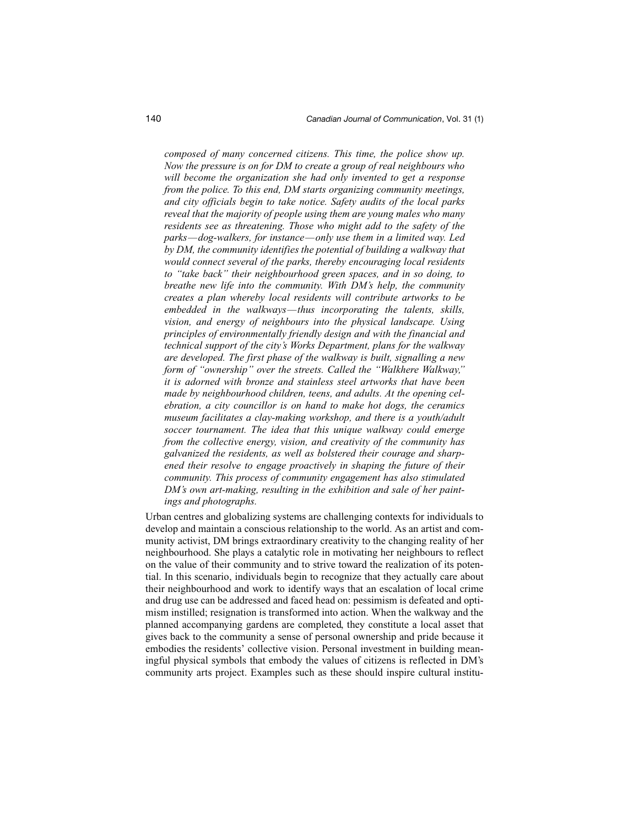*composed of many concerned citizens. This time, the police show up. Now the pressure is on for DM to create a group of real neighbours who will become the organization she had only invented to get a response from the police. To this end, DM starts organizing community meetings, and city officials begin to take notice. Safety audits of the local parks reveal that the majority of people using them are young males who many residents see as threatening. Those who might add to the safety of the parks—dog-walkers, for instance—only use them in a limited way. Led by DM, the community identifies the potential of building a walkway that would connect several of the parks, thereby encouraging local residents to "take back" their neighbourhood green spaces, and in so doing, to breathe new life into the community. With DM's help, the community creates a plan whereby local residents will contribute artworks to be embedded in the walkways—thus incorporating the talents, skills, vision, and energy of neighbours into the physical landscape. Using principles of environmentally friendly design and with the financial and technical support of the city's Works Department, plans for the walkway are developed. The first phase of the walkway is built, signalling a new form of "ownership" over the streets. Called the "Walkhere Walkway," it is adorned with bronze and stainless steel artworks that have been made by neighbourhood children, teens, and adults. At the opening celebration, a city councillor is on hand to make hot dogs, the ceramics museum facilitates a clay-making workshop, and there is a youth/adult soccer tournament. The idea that this unique walkway could emerge from the collective energy, vision, and creativity of the community has galvanized the residents, as well as bolstered their courage and sharpened their resolve to engage proactively in shaping the future of their community. This process of community engagement has also stimulated DM's own art-making, resulting in the exhibition and sale of her paintings and photographs.*

Urban centres and globalizing systems are challenging contexts for individuals to develop and maintain a conscious relationship to the world. As an artist and community activist, DM brings extraordinary creativity to the changing reality of her neighbourhood. She plays a catalytic role in motivating her neighbours to reflect on the value of their community and to strive toward the realization of its potential. In this scenario, individuals begin to recognize that they actually care about their neighbourhood and work to identify ways that an escalation of local crime and drug use can be addressed and faced head on: pessimism is defeated and optimism instilled; resignation is transformed into action. When the walkway and the planned accompanying gardens are completed, they constitute a local asset that gives back to the community a sense of personal ownership and pride because it embodies the residents' collective vision. Personal investment in building meaningful physical symbols that embody the values of citizens is reflected in DM's community arts project. Examples such as these should inspire cultural institu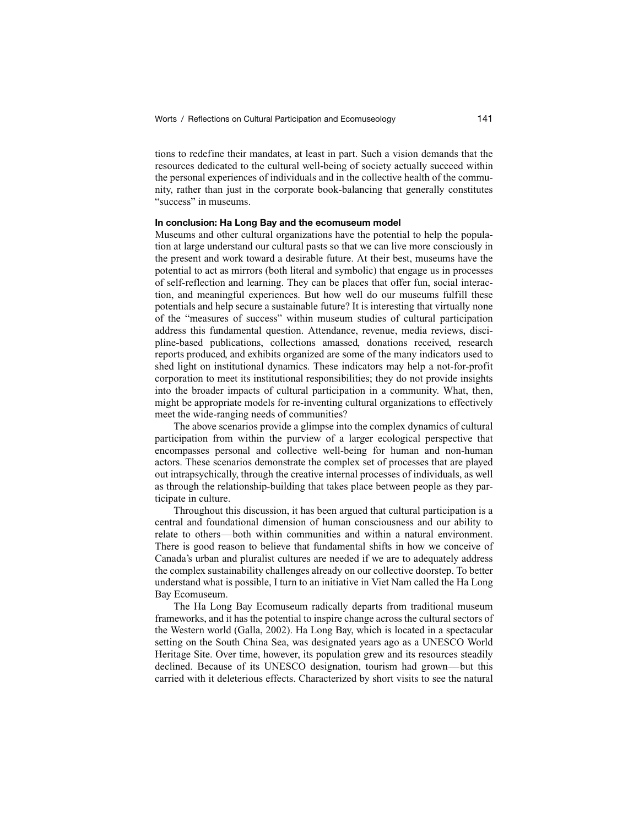tions to redefine their mandates, at least in part. Such a vision demands that the resources dedicated to the cultural well-being of society actually succeed within the personal experiences of individuals and in the collective health of the community, rather than just in the corporate book-balancing that generally constitutes "success" in museums.

# **In conclusion: Ha Long Bay and the ecomuseum model**

Museums and other cultural organizations have the potential to help the population at large understand our cultural pasts so that we can live more consciously in the present and work toward a desirable future. At their best, museums have the potential to act as mirrors (both literal and symbolic) that engage us in processes of self-reflection and learning. They can be places that offer fun, social interaction, and meaningful experiences. But how well do our museums fulfill these potentials and help secure a sustainable future? It is interesting that virtually none of the "measures of success" within museum studies of cultural participation address this fundamental question. Attendance, revenue, media reviews, discipline-based publications, collections amassed, donations received, research reports produced, and exhibits organized are some of the many indicators used to shed light on institutional dynamics. These indicators may help a not-for-profit corporation to meet its institutional responsibilities; they do not provide insights into the broader impacts of cultural participation in a community. What, then, might be appropriate models for re-inventing cultural organizations to effectively meet the wide-ranging needs of communities?

The above scenarios provide a glimpse into the complex dynamics of cultural participation from within the purview of a larger ecological perspective that encompasses personal and collective well-being for human and non-human actors. These scenarios demonstrate the complex set of processes that are played out intrapsychically, through the creative internal processes of individuals, as well as through the relationship-building that takes place between people as they participate in culture.

Throughout this discussion, it has been argued that cultural participation is a central and foundational dimension of human consciousness and our ability to relate to others—both within communities and within a natural environment. There is good reason to believe that fundamental shifts in how we conceive of Canada's urban and pluralist cultures are needed if we are to adequately address the complex sustainability challenges already on our collective doorstep. To better understand what is possible, I turn to an initiative in Viet Nam called the Ha Long Bay Ecomuseum.

The Ha Long Bay Ecomuseum radically departs from traditional museum frameworks, and it has the potential to inspire change across the cultural sectors of the Western world (Galla, 2002). Ha Long Bay, which is located in a spectacular setting on the South China Sea, was designated years ago as a UNESCO World Heritage Site. Over time, however, its population grew and its resources steadily declined. Because of its UNESCO designation, tourism had grown—but this carried with it deleterious effects. Characterized by short visits to see the natural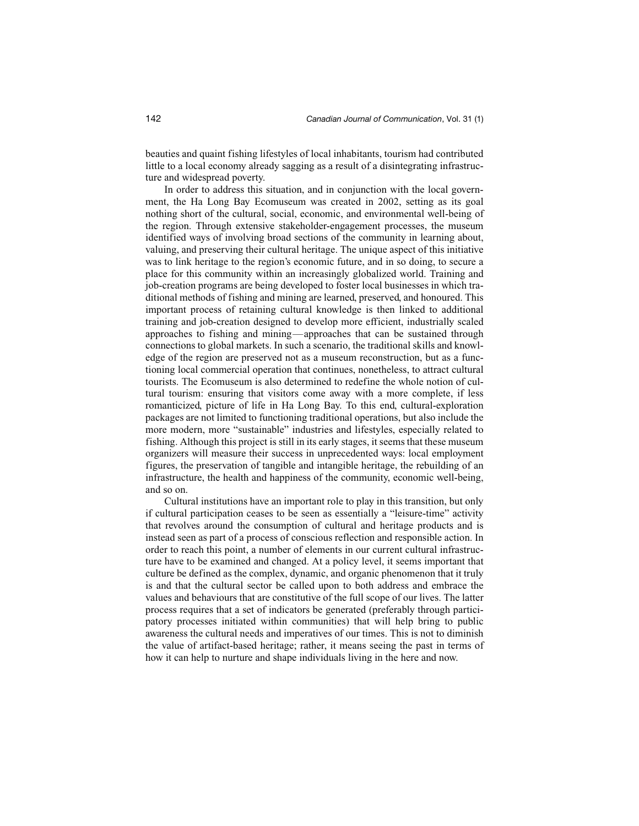beauties and quaint fishing lifestyles of local inhabitants, tourism had contributed little to a local economy already sagging as a result of a disintegrating infrastructure and widespread poverty.

In order to address this situation, and in conjunction with the local government, the Ha Long Bay Ecomuseum was created in 2002, setting as its goal nothing short of the cultural, social, economic, and environmental well-being of the region. Through extensive stakeholder-engagement processes, the museum identified ways of involving broad sections of the community in learning about, valuing, and preserving their cultural heritage. The unique aspect of this initiative was to link heritage to the region's economic future, and in so doing, to secure a place for this community within an increasingly globalized world. Training and job-creation programs are being developed to foster local businesses in which traditional methods of fishing and mining are learned, preserved, and honoured. This important process of retaining cultural knowledge is then linked to additional training and job-creation designed to develop more efficient, industrially scaled approaches to fishing and mining—approaches that can be sustained through connections to global markets. In such a scenario, the traditional skills and knowledge of the region are preserved not as a museum reconstruction, but as a functioning local commercial operation that continues, nonetheless, to attract cultural tourists. The Ecomuseum is also determined to redefine the whole notion of cultural tourism: ensuring that visitors come away with a more complete, if less romanticized, picture of life in Ha Long Bay. To this end, cultural-exploration packages are not limited to functioning traditional operations, but also include the more modern, more "sustainable" industries and lifestyles, especially related to fishing. Although this project is still in its early stages, it seems that these museum organizers will measure their success in unprecedented ways: local employment figures, the preservation of tangible and intangible heritage, the rebuilding of an infrastructure, the health and happiness of the community, economic well-being, and so on.

Cultural institutions have an important role to play in this transition, but only if cultural participation ceases to be seen as essentially a "leisure-time" activity that revolves around the consumption of cultural and heritage products and is instead seen as part of a process of conscious reflection and responsible action. In order to reach this point, a number of elements in our current cultural infrastructure have to be examined and changed. At a policy level, it seems important that culture be defined as the complex, dynamic, and organic phenomenon that it truly is and that the cultural sector be called upon to both address and embrace the values and behaviours that are constitutive of the full scope of our lives. The latter process requires that a set of indicators be generated (preferably through participatory processes initiated within communities) that will help bring to public awareness the cultural needs and imperatives of our times. This is not to diminish the value of artifact-based heritage; rather, it means seeing the past in terms of how it can help to nurture and shape individuals living in the here and now.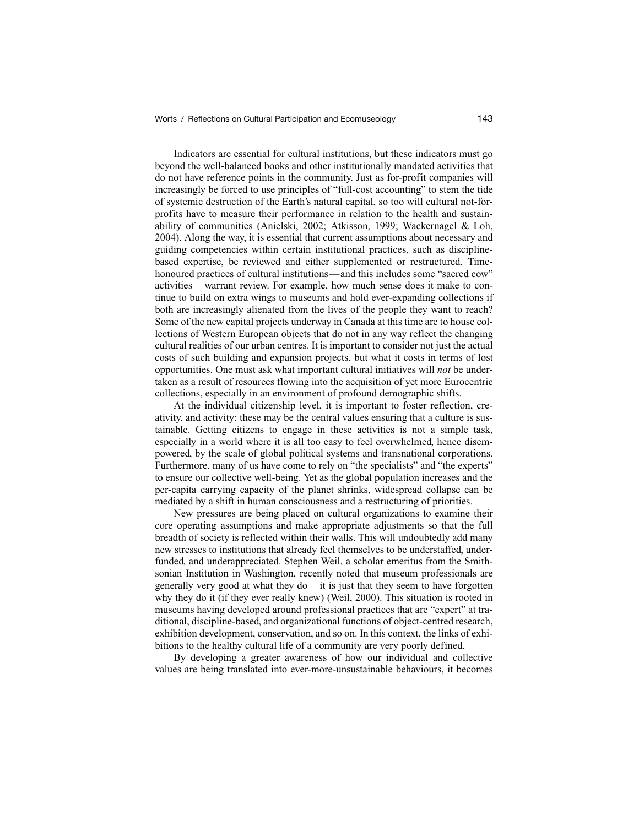Indicators are essential for cultural institutions, but these indicators must go beyond the well-balanced books and other institutionally mandated activities that do not have reference points in the community. Just as for-profit companies will increasingly be forced to use principles of "full-cost accounting" to stem the tide of systemic destruction of the Earth's natural capital, so too will cultural not-forprofits have to measure their performance in relation to the health and sustainability of communities (Anielski, 2002; Atkisson, 1999; Wackernagel & Loh, 2004). Along the way, it is essential that current assumptions about necessary and guiding competencies within certain institutional practices, such as disciplinebased expertise, be reviewed and either supplemented or restructured. Timehonoured practices of cultural institutions—and this includes some "sacred cow" activities—warrant review. For example, how much sense does it make to continue to build on extra wings to museums and hold ever-expanding collections if both are increasingly alienated from the lives of the people they want to reach? Some of the new capital projects underway in Canada at this time are to house collections of Western European objects that do not in any way reflect the changing cultural realities of our urban centres. It is important to consider not just the actual costs of such building and expansion projects, but what it costs in terms of lost opportunities. One must ask what important cultural initiatives will *not* be undertaken as a result of resources flowing into the acquisition of yet more Eurocentric collections, especially in an environment of profound demographic shifts.

At the individual citizenship level, it is important to foster reflection, creativity, and activity: these may be the central values ensuring that a culture is sustainable. Getting citizens to engage in these activities is not a simple task, especially in a world where it is all too easy to feel overwhelmed, hence disempowered, by the scale of global political systems and transnational corporations. Furthermore, many of us have come to rely on "the specialists" and "the experts" to ensure our collective well-being. Yet as the global population increases and the per-capita carrying capacity of the planet shrinks, widespread collapse can be mediated by a shift in human consciousness and a restructuring of priorities.

New pressures are being placed on cultural organizations to examine their core operating assumptions and make appropriate adjustments so that the full breadth of society is reflected within their walls. This will undoubtedly add many new stresses to institutions that already feel themselves to be understaffed, underfunded, and underappreciated. Stephen Weil, a scholar emeritus from the Smithsonian Institution in Washington, recently noted that museum professionals are generally very good at what they do—it is just that they seem to have forgotten why they do it (if they ever really knew) (Weil, 2000). This situation is rooted in museums having developed around professional practices that are "expert" at traditional, discipline-based, and organizational functions of object-centred research, exhibition development, conservation, and so on. In this context, the links of exhibitions to the healthy cultural life of a community are very poorly defined.

By developing a greater awareness of how our individual and collective values are being translated into ever-more-unsustainable behaviours, it becomes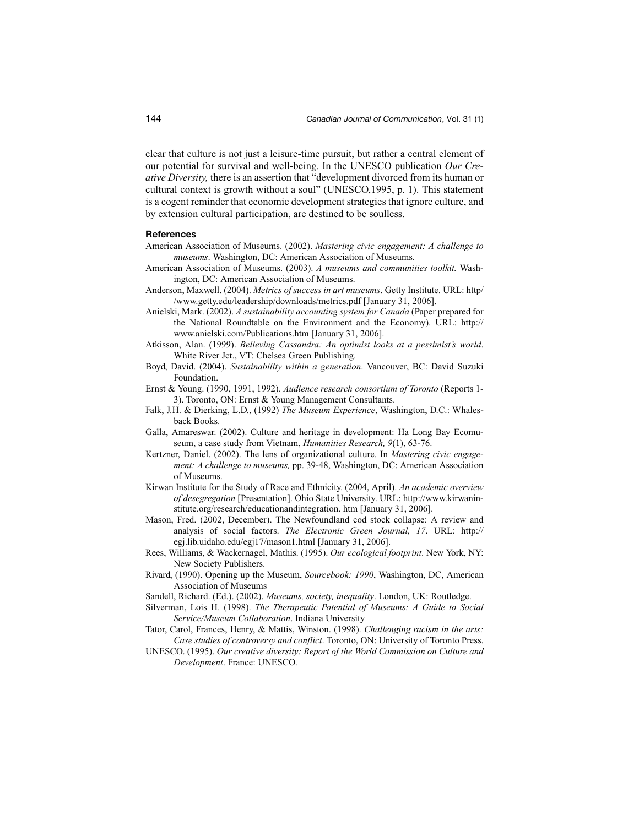clear that culture is not just a leisure-time pursuit, but rather a central element of our potential for survival and well-being. In the UNESCO publication *Our Creative Diversity,* there is an assertion that "development divorced from its human or cultural context is growth without a soul" (UNESCO,1995, p. 1). This statement is a cogent reminder that economic development strategies that ignore culture, and by extension cultural participation, are destined to be soulless.

#### **References**

- American Association of Museums. (2002). *Mastering civic engagement: A challenge to museums*. Washington, DC: American Association of Museums.
- American Association of Museums. (2003). *A museums and communities toolkit.* Washington, DC: American Association of Museums.
- Anderson, Maxwell. (2004). *Metrics of success in art museums*. Getty Institute. URL: http/ /www.getty.edu/leadership/downloads/metrics.pdf [January 31, 2006].
- Anielski, Mark. (2002). *A sustainability accounting system for Canada* (Paper prepared for the National Roundtable on the Environment and the Economy). URL: http:// www.anielski.com/Publications.htm [January 31, 2006].
- Atkisson, Alan. (1999). *Believing Cassandra: An optimist looks at a pessimist's world*. White River Jct., VT: Chelsea Green Publishing.
- Boyd, David. (2004). *Sustainability within a generation*. Vancouver, BC: David Suzuki Foundation.
- Ernst & Young. (1990, 1991, 1992). *Audience research consortium of Toronto* (Reports 1- 3). Toronto, ON: Ernst & Young Management Consultants.
- Falk, J.H. & Dierking, L.D., (1992) *The Museum Experience*, Washington, D.C.: Whalesback Books.
- Galla, Amareswar. (2002). Culture and heritage in development: Ha Long Bay Ecomuseum, a case study from Vietnam, *Humanities Research, 9*(1), 63-76.
- Kertzner, Daniel. (2002). The lens of organizational culture. In *Mastering civic engagement: A challenge to museums,* pp. 39-48, Washington, DC: American Association of Museums.
- Kirwan Institute for the Study of Race and Ethnicity. (2004, April). *An academic overview of desegregation* [Presentation]. Ohio State University. URL: http://www.kirwaninstitute.org/research/educationandintegration. htm [January 31, 2006].
- Mason, Fred. (2002, December). The Newfoundland cod stock collapse: A review and analysis of social factors. *The Electronic Green Journal, 17*. URL: http:// egj.lib.uidaho.edu/egj17/mason1.html [January 31, 2006].
- Rees, Williams, & Wackernagel, Mathis. (1995). *Our ecological footprint*. New York, NY: New Society Publishers.
- Rivard, (1990). Opening up the Museum, *Sourcebook: 1990*, Washington, DC, American Association of Museums
- Sandell, Richard. (Ed.). (2002). *Museums, society, inequality*. London, UK: Routledge.
- Silverman, Lois H. (1998). *The Therapeutic Potential of Museums: A Guide to Social Service/Museum Collaboration*. Indiana University
- Tator, Carol, Frances, Henry, & Mattis, Winston. (1998). *Challenging racism in the arts: Case studies of controversy and conflict*. Toronto, ON: University of Toronto Press.
- UNESCO. (1995). *Our creative diversity: Report of the World Commission on Culture and Development*. France: UNESCO.